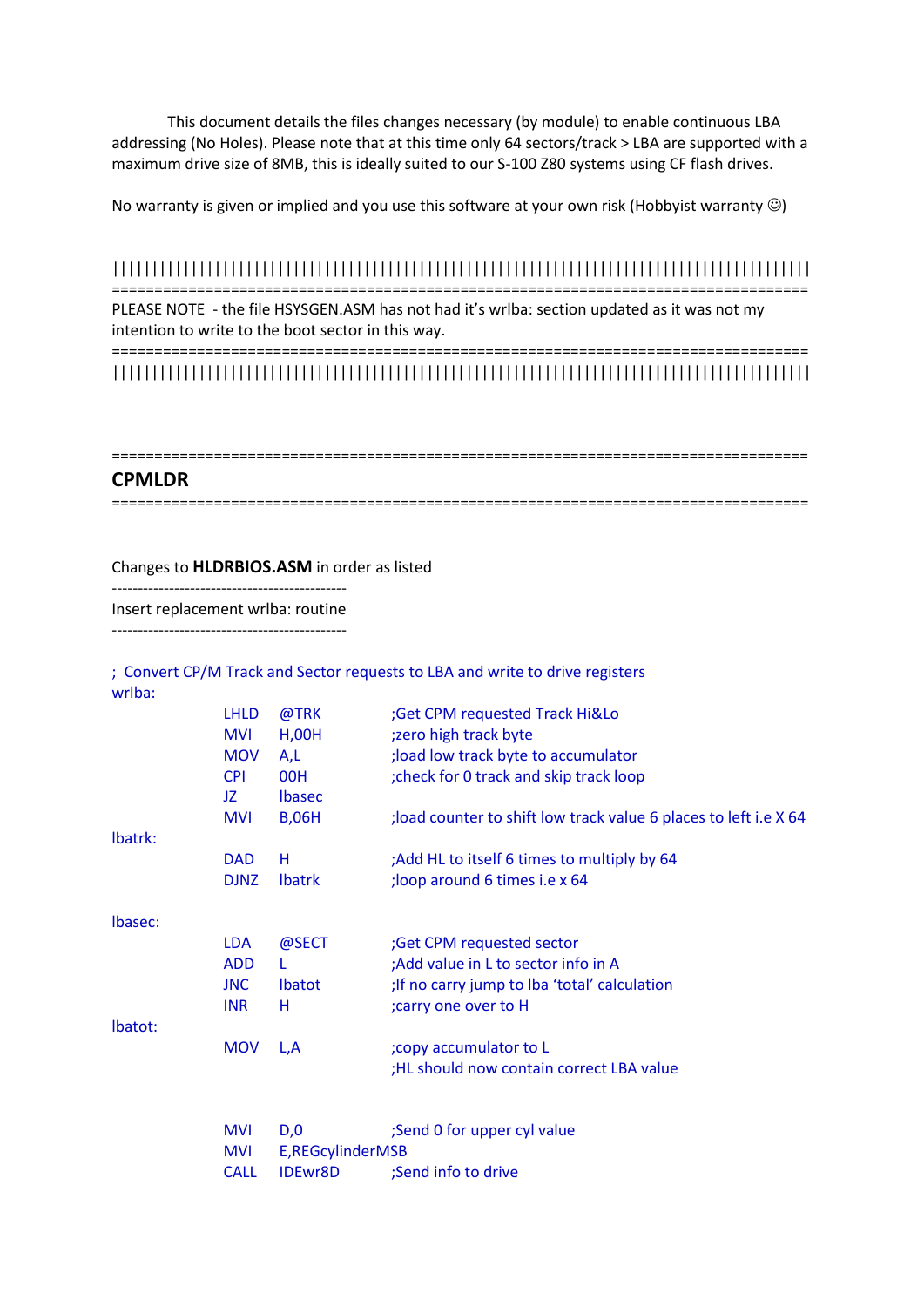This document details the files changes necessary (by module) to enable continuous LBA addressing (No Holes). Please note that at this time only 64 sectors/track > LBA are supported with a maximum drive size of 8MB, this is ideally suited to our S-100 Z80 systems using CF flash drives.

No warranty is given or implied and you use this software at your own risk (Hobbyist warranty  $\circledcirc$ )

#### ||||||||||||||||||||||||||||||||||||||||||||||||||||||||||||||||||||||||||||||||||||||||| ==================================================================================

PLEASE NOTE - the file HSYSGEN.ASM has not had it's wrlba: section updated as it was not my intention to write to the boot sector in this way.

================================================================================== |||||||||||||||||||||||||||||||||||||||||||||||||||||||||||||||||||||||||||||||||||||||||

## **CPMLDR**

==================================================================================

Changes to **HLDRBIOS.ASM** in order as listed

--------------------------------------------- Insert replacement wrlba: routine

---------------------------------------------

; Convert CP/M Track and Sector requests to LBA and write to drive registers wrlba:

|         | <b>LHLD</b>              | @TRK             | ;Get CPM requested Track Hi&Lo                                                  |
|---------|--------------------------|------------------|---------------------------------------------------------------------------------|
|         | <b>MVI</b><br><b>MOV</b> | H, OOH           | ;zero high track byte                                                           |
|         | <b>CPI</b>               | A,L<br>00H       | ; load low track byte to accumulator<br>; check for 0 track and skip track loop |
|         | JZ                       | <b>Ibasec</b>    |                                                                                 |
|         | <b>MVI</b>               | <b>B,06H</b>     | ; load counter to shift low track value 6 places to left i.e X 64               |
| Ibatrk: |                          |                  |                                                                                 |
|         | <b>DAD</b>               | н                | ;Add HL to itself 6 times to multiply by 64                                     |
|         | <b>DJNZ</b>              | <b>Ibatrk</b>    | ;loop around 6 times i.e x 64                                                   |
|         |                          |                  |                                                                                 |
| Ibasec: | <b>LDA</b>               | @SECT            | ;Get CPM requested sector                                                       |
|         | <b>ADD</b>               | L                | ;Add value in L to sector info in A                                             |
|         | <b>JNC</b>               | <b>Ibatot</b>    | ; If no carry jump to Iba 'total' calculation                                   |
|         | <b>INR</b>               | н                | ; carry one over to H                                                           |
| Ibatot: |                          |                  |                                                                                 |
|         | <b>MOV</b>               | L,A              | ; copy accumulator to L                                                         |
|         |                          |                  | ;HL should now contain correct LBA value                                        |
|         |                          |                  |                                                                                 |
|         | <b>MVI</b>               | D,0              | ;Send 0 for upper cyl value                                                     |
|         | <b>MVI</b>               | E,REGcylinderMSB |                                                                                 |
|         | <b>CALL</b>              | <b>IDEwr8D</b>   | ;Send info to drive                                                             |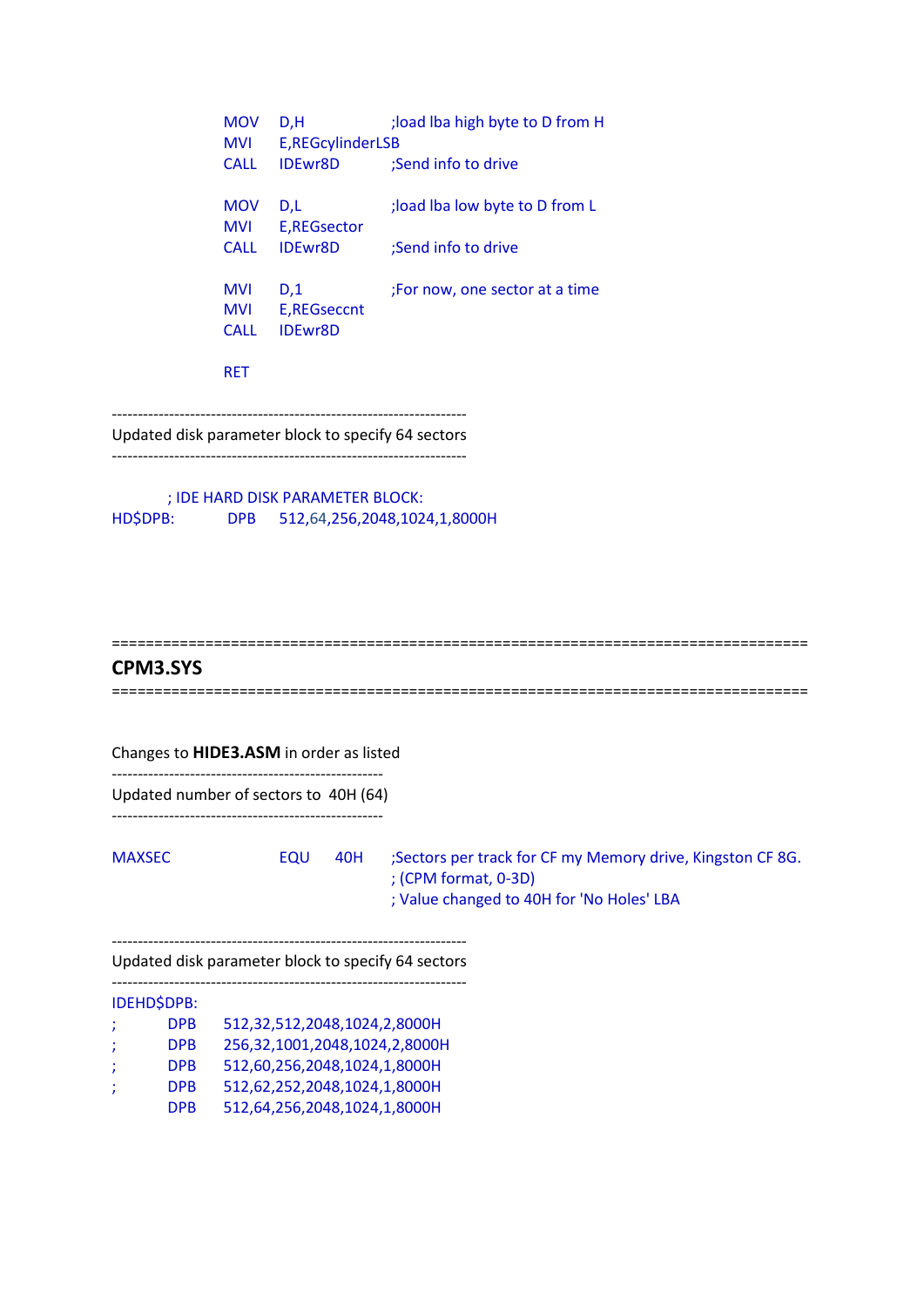MOV D,H ;load lba high byte to D from H MVI E,REGcylinderLSB CALL IDEwr8D ;Send info to drive MOV D,L ;load lba low byte to D from L MVI E,REGsector CALL IDEwr8D ;Send info to drive MVI D,1 ;For now, one sector at a time MVI E,REGseccnt CALL IDEwr8D RET

--------------------------------------------------------------------

Updated disk parameter block to specify 64 sectors --------------------------------------------------------------------

; IDE HARD DISK PARAMETER BLOCK: HD\$DPB: DPB 512,64,256,2048,1024,1,8000H

### ==================================================================================

## **CPM3.SYS**

Changes to **HIDE3.ASM** in order as listed ----------------------------------------------------

Updated number of sectors to 40H (64)

----------------------------------------------------

MAXSEC EQU 40H ;Sectors per track for CF my Memory drive, Kingston CF 8G. ; (CPM format, 0-3D) ; Value changed to 40H for 'No Holes' LBA

--------------------------------------------------------------------

Updated disk parameter block to specify 64 sectors

-------------------------------------------------------------------- IDEHD\$DPB: ; DPB 512,32,512,2048,1024,2,8000H ; DPB 256,32,1001,2048,1024,2,8000H ; DPB 512,60,256,2048,1024,1,8000H ; DPB 512,62,252,2048,1024,1,8000H DPB 512,64,256,2048,1024,1,8000H